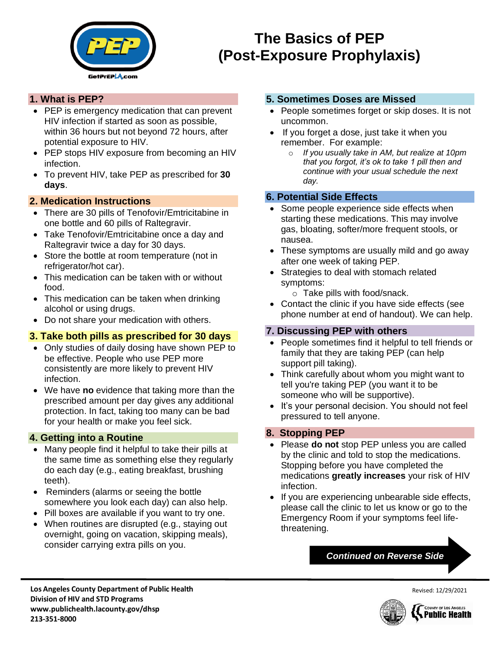

# **The Basics of PEP (Post-Exposure Prophylaxis)**

## **1. What is PEP?**

- PEP is emergency medication that can prevent HIV infection if started as soon as possible, within 36 hours but not beyond 72 hours, after potential exposure to HIV.
- PEP stops HIV exposure from becoming an HIV infection.
- To prevent HIV, take PEP as prescribed for **30 days**.

## **2. Medication Instructions**

- There are 30 pills of Tenofovir/Emtricitabine in one bottle and 60 pills of Raltegravir.
- Take Tenofovir/Emtricitabine once a day and Raltegravir twice a day for 30 days.
- Store the bottle at room temperature (not in refrigerator/hot car).
- This medication can be taken with or without food.
- This medication can be taken when drinking alcohol or using drugs.
- Do not share your medication with others.

# **3. Take both pills as prescribed for 30 days**

- Only studies of daily dosing have shown PEP to be effective. People who use PEP more consistently are more likely to prevent HIV infection.
- We have **no** evidence that taking more than the prescribed amount per day gives any additional protection. In fact, taking too many can be bad for your health or make you feel sick.

### **4. Getting into a Routine**

- Many people find it helpful to take their pills at the same time as something else they regularly do each day (e.g., eating breakfast, brushing teeth).
- Reminders (alarms or seeing the bottle somewhere you look each day) can also help.
- Pill boxes are available if you want to try one.
- When routines are disrupted (e.g., staying out overnight, going on vacation, skipping meals), consider carrying extra pills on you.

### **5. Sometimes Doses are Missed**

- People sometimes forget or skip doses. It is not uncommon.
- If you forget a dose, just take it when you remember. For example:
	- o *If you usually take in AM, but realize at 10pm that you forgot, it's ok to take 1 pill then and continue with your usual schedule the next day.*

### **6. Potential Side Effects**

- Some people experience side effects when starting these medications. This may involve gas, bloating, softer/more frequent stools, or nausea.
- These symptoms are usually mild and go away after one week of taking PEP.
- Strategies to deal with stomach related symptoms:
	- o Take pills with food/snack.
- Contact the clinic if you have side effects (see phone number at end of handout). We can help.

### **7. Discussing PEP with others**

- People sometimes find it helpful to tell friends or family that they are taking PEP (can help support pill taking).
- Think carefully about whom you might want to tell you're taking PEP (you want it to be someone who will be supportive).
- It's your personal decision. You should not feel pressured to tell anyone.

# **8. Stopping PEP**

- Please **do not** stop PEP unless you are called by the clinic and told to stop the medications. Stopping before you have completed the medications **greatly increases** your risk of HIV infection.
- If you are experiencing unbearable side effects, please call the clinic to let us know or go to the Emergency Room if your symptoms feel lifethreatening.

## *Continued on Reverse Side*

**Los Angeles County Department of Public Health Division of HIV and STD Programs www.publichealth.lacounty.gov/dhsp 213-351-8000**



Revised: 12/29/2021